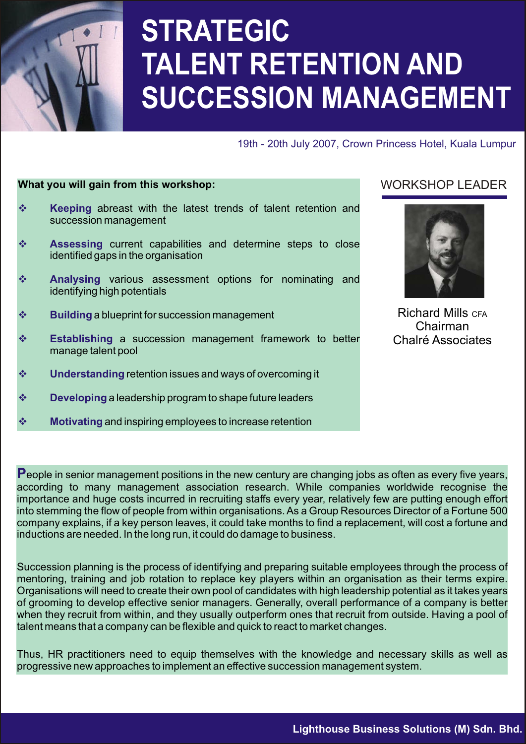

# **STRATEGIC TALENT RETENTION AND SUCCESSION MANAGEMENT**

19th - 20th July 2007, Crown Princess Hotel, Kuala Lumpur

#### **What you will gain from this workshop:**

- **\*** Keeping abreast with the latest trends of talent retention and succession management
- $\div$  Assessing current capabilities and determine steps to close identified gaps in the organisation
- **\*** Analysing various assessment options for nominating and identifying high potentials
- $\mathbf{\hat{P}}$  **Building** a blueprint for succession management
- **Establishing** a succession management framework to better manage talent pool
- $\mathbf{\hat{y}}$  Understanding retention issues and ways of overcoming it
- $\mathbf{\hat{x}}$  **Developing** a leadership program to shape future leaders
- $\mathbf{\hat{x}}$  **Motivating** and inspiring employees to increase retention

#### WORKSHOP LEADER



Richard Mills CFA Chairman Chalré Associates

**P**eople in senior management positions in the new century are changing jobs as often as every five years, according to many management association research. While companies worldwide recognise the importance and huge costs incurred in recruiting staffs every year, relatively few are putting enough effort into stemming the flow of people from within organisations. As a Group Resources Director of a Fortune 500 company explains, if a key person leaves, it could take months to find a replacement, will cost a fortune and inductions are needed. In the long run, it could do damage to business.

Succession planning is the process of identifying and preparing suitable employees through the process of mentoring, training and job rotation to replace key players within an organisation as their terms expire. Organisations will need to create their own pool of candidates with high leadership potential as it takes years of grooming to develop effective senior managers. Generally, overall performance of a company is better when they recruit from within, and they usually outperform ones that recruit from outside. Having a pool of talent means that a company can be flexible and quick to react to market changes.

Thus, HR practitioners need to equip themselves with the knowledge and necessary skills as well as progressive new approaches to implement an effective succession management system.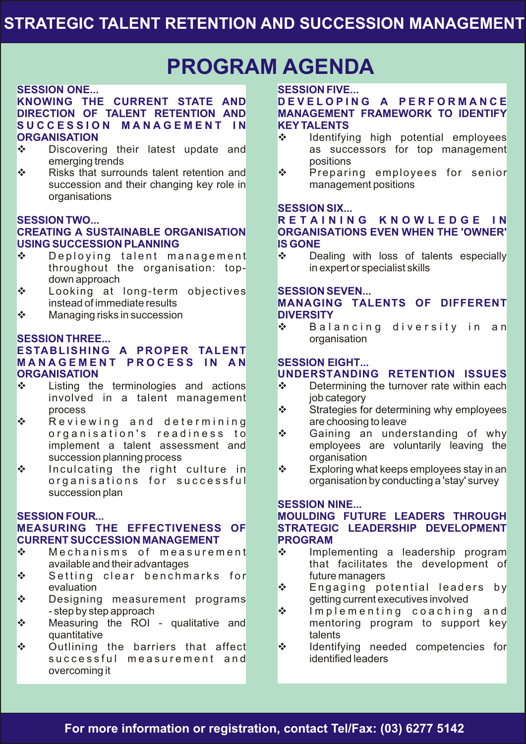### **PROGRAM AGENDA**

#### **SESSION ONE...**

#### **KNOWING THE CURRENT STATE AND DIRECTION OF TALENT RETENTION AND S U C C E S S I O N M A N A G E M E N T I N ORGANISATION**

- ❖ Discovering their latest update and emerging trends
- Risks that surrounds talent retention and succession and their changing key role in organisations

#### **SESSION TWO...**

#### **CREATING A SUSTAINABLE ORGANISATION USING SUCCESSION PLANNING**

- $\mathbf{\hat{P}}$  Deploying talent management throughout the organisation: topdown approach
- Looking at long-term objectives instead of immediate results
- $\mathbf{\hat{P}}$  Managing risks in succession

#### **SESSION THREE...**

#### **ESTABLISHING A PROPER TALENT M A N A G E M E N T P R O C E S S I N A N ORGANISATION**

- $\div$  Listing the terminologies and actions involved in a talent management process
- $\mathbf{\hat{P}}$  Reviewing and determining organisation's readiness to implement a talent assessment and succession planning process
- $\cdot$  Inculcating the right culture in organisations for successful succession plan

#### **SESSION FOUR... MEASURING THE EFFECTIVENESS OF CURRENT SUCCESSION MANAGEMENT**

- $\mathbf{\hat{S}}$  Mechanisms of measurement available and their advantages
- $\mathbf{\hat{S}}$  Setting clear benchmarks for evaluation
- $\cdot$  Designing measurement programs - step by step approach
- ❖ Measuring the ROI qualitative and quantitative
- $\div$  Outlining the barriers that affect successful measurement and overcoming it

#### **SESSION FIVE...**

#### **D E V E L O P I N G A P E R F O R M A N C E MANAGEMENT FRAMEWORK TO IDENTIFY KEYTALENTS**

- $\div$  Identifying high potential employees as successors for top management positions
- ◆ Preparing employees for senior management positions

#### **SESSION SIX...**

#### **R E T A I N I N G K N O W L E D G E I N ORGANISATIONS EVEN WHEN THE 'OWNER' IS GONE**

 Dealing with loss of talents especially in expert or specialist skills

#### **SESSION SEVEN...**

#### **MANAGING TALENTS OF DIFFERENT DIVERSITY**

 $\mathbf{\hat{P}}$  Balancing diversity in an organisation

#### **SESSION EIGHT...**

#### **UNDERSTANDING RETENTION ISSUES**

- $\div$  Determining the turnover rate within each job category
- ❖ Strategies for determining why employees are choosing to leave
- ❖ Gaining an understanding of why employees are voluntarily leaving the organisation
- $\mathbf{\hat{P}}$  Exploring what keeps employees stay in an organisation by conducting a 'stay' survey

#### **SESSION NINE...**

#### **MOULDING FUTURE LEADERS THROUGH STRATEGIC LEADERSHIP DEVELOPMENT PROGRAM**

- Implementing a leadership program that facilitates the development of future managers
- $\mathbf{\hat{P}}$  Engaging potential leaders by getting current executives involved
- $\mathbf{\hat{P}}$  Implementing coaching and mentoring program to support key talents
- $\div$  Identifying needed competencies for identified leaders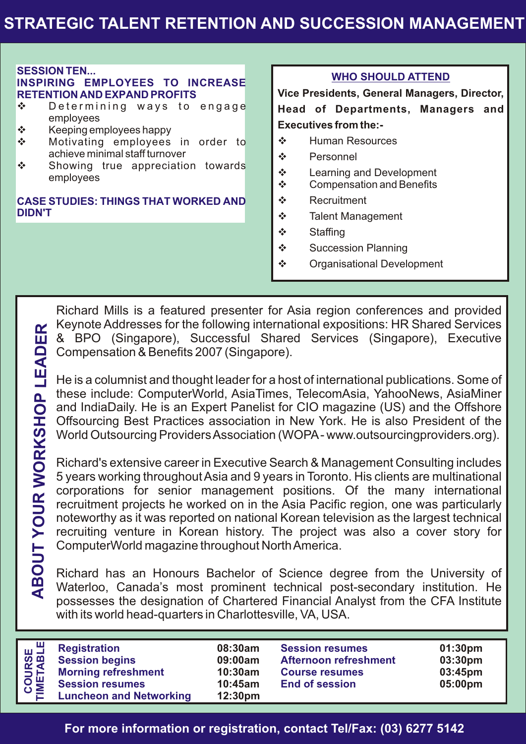### **STRATEGIC TALENT RETENTION AND SUCCESSION MANAGEMENT**

#### **SESSION TEN...**

#### **INSPIRING EMPLOYEES TO INCREASE RETENTION AND EXPAND PROFITS**

- $\mathbf{\hat{P}}$  Determining ways to engage employees
- $\div$  Keeping employees happy
- Motivating employees in order to achieve minimal staff turnover
- $\div$  Showing true appreciation towards employees

#### **CASE STUDIES: THINGS THAT WORKED AND DIDN'T**

#### **WHO SHOULD ATTEND**

**Vice Presidents, General Managers, Director, Head of Departments, Managers and Executives from the:-**

- **❖** Human Resources
- ❖ Personnel
- Learning and Development
- ❖ Compensation and Benefits
- ❖ Recruitment
- **❖** Talent Management
- ❖ Staffing
- ❖ Succession Planning
- **❖** Organisational Development

Richard Mills is a featured presenter for Asia region conferences and provided Keynote Addresses for the following international expositions: HR Shared Services & BPO (Singapore), Successful Shared Services (Singapore), Executive Compensation & Benefits 2007 (Singapore).

He is a columnist and thought leader for a host of international publications. Some of these include: ComputerWorld, AsiaTimes, TelecomAsia, YahooNews, AsiaMiner and IndiaDaily. He is an Expert Panelist for CIO magazine (US) and the Offshore Offsourcing Best Practices association in New York. He is also President of the World Outsourcing Providers Association (WOPA- www.outsourcingproviders.org).

Richard's extensive career in Executive Search & Management Consulting includes 5 years working throughout Asia and 9 years in Toronto. His clients are multinational corporations for senior management positions. Of the many international recruitment projects he worked on in the Asia Pacific region, one was particularly noteworthy as it was reported on national Korean television as the largest technical recruiting venture in Korean history. The project was also a cover story for ComputerWorld magazine throughout North America.

Richard has an Honours Bachelor of Science degree from the University of Waterloo, Canada's most prominent technical post-secondary institution. He possesses the designation of Chartered Financial Analyst from the CFA Institute with its world head-quarters in Charlottesville, VA, USA.

| <b>Registration</b><br><b>Session resumes</b><br>01:30 <sub>pm</sub><br>08:30am<br><b>Session begins</b><br>03:30pm<br><b>Afternoon refreshment</b><br>09:00am<br><b>Morning refreshment</b><br>03:45pm<br>10:30am<br><b>Course resumes</b><br><b>Session resumes</b><br>05:00pm<br><b>End of session</b><br>10:45am<br><b>Luncheon and Networking</b><br>12:30 <sub>pm</sub> |                                |  |  |
|-------------------------------------------------------------------------------------------------------------------------------------------------------------------------------------------------------------------------------------------------------------------------------------------------------------------------------------------------------------------------------|--------------------------------|--|--|
|                                                                                                                                                                                                                                                                                                                                                                               | ᇤᄖ<br><b>COURSE</b><br>IMETABL |  |  |
|                                                                                                                                                                                                                                                                                                                                                                               |                                |  |  |

**For more information or registration, contact Tel/Fax: (03) 6277 5142**